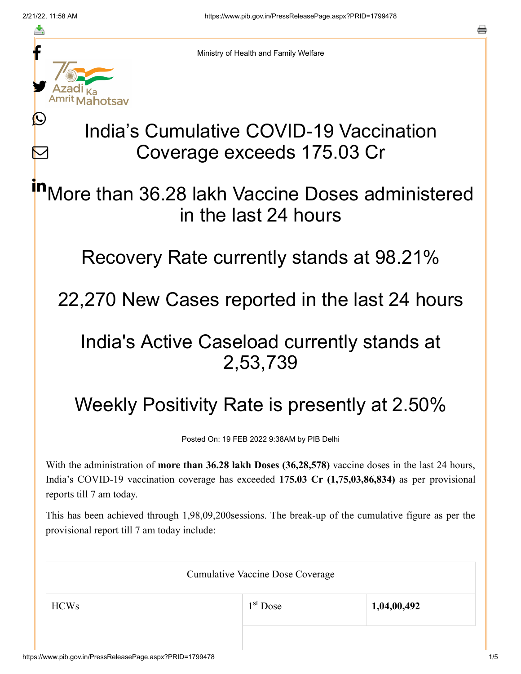≛

Ŀ

 $\bm{\nabla}$ 



Ministry of Health and Family Welfare

# India's Cumulative COVID-19 Vaccination Coverage exceeds 175.03 Cr

More than 36.28 lakh Vaccine Doses administered in the last 24 hours in

Recovery Rate currently stands at 98.21%

22,270 New Cases reported in the last 24 hours

### India's Active Caseload currently stands at 2,53,739

## Weekly Positivity Rate is presently at 2.50%

Posted On: 19 FEB 2022 9:38AM by PIB Delhi

With the administration of **more than 36.28 lakh Doses (36,28,578)** vaccine doses in the last 24 hours, India's COVID-19 vaccination coverage has exceeded **175.03 Cr (1,75,03,86,834)** as per provisional reports till 7 am today.

This has been achieved through 1,98,09,200sessions. The break-up of the cumulative figure as per the provisional report till 7 am today include:

| <b>Cumulative Vaccine Dose Coverage</b> |            |             |  |  |
|-----------------------------------------|------------|-------------|--|--|
| <b>HCWs</b>                             | $1st$ Dose | 1,04,00,492 |  |  |
|                                         |            |             |  |  |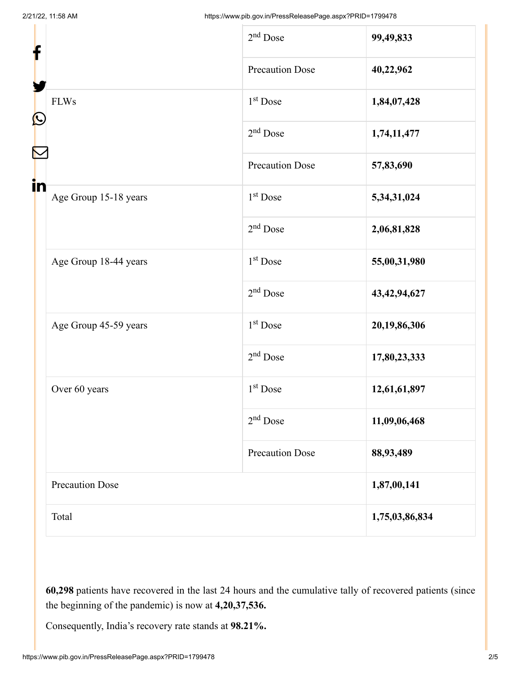| f                 |                        | $2nd$ Dose             | 99,49,833       |
|-------------------|------------------------|------------------------|-----------------|
|                   |                        | <b>Precaution Dose</b> | 40,22,962       |
| $\mathbf{\Omega}$ | <b>FLWs</b>            | $1st$ Dose             | 1,84,07,428     |
|                   |                        | $2nd$ Dose             | 1,74,11,477     |
|                   |                        | <b>Precaution Dose</b> | 57,83,690       |
| in                | Age Group 15-18 years  | 1 <sup>st</sup> Dose   | 5,34,31,024     |
|                   |                        | $2nd$ Dose             | 2,06,81,828     |
|                   | Age Group 18-44 years  | 1 <sup>st</sup> Dose   | 55,00,31,980    |
|                   |                        | $2nd$ Dose             | 43, 42, 94, 627 |
|                   | Age Group 45-59 years  | $1st$ Dose             | 20,19,86,306    |
|                   |                        | $2nd$ Dose             | 17,80,23,333    |
|                   | Over 60 years          | $1st$ Dose             | 12,61,61,897    |
|                   |                        | $2nd$ Dose             | 11,09,06,468    |
|                   |                        | <b>Precaution Dose</b> | 88,93,489       |
|                   | <b>Precaution Dose</b> |                        | 1,87,00,141     |
|                   | Total                  |                        | 1,75,03,86,834  |

**60,298** patients have recovered in the last 24 hours and the cumulative tally of recovered patients (since the beginning of the pandemic) is now at **4,20,37,536.**

Consequently, India's recovery rate stands at **98.21%.**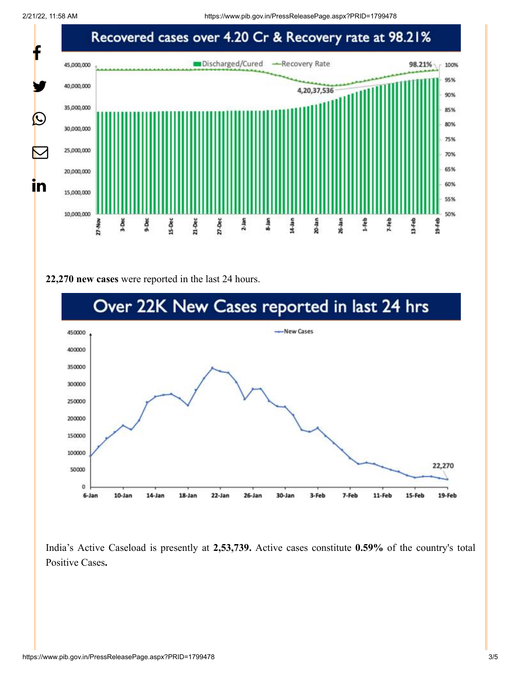2/21/22, 11:58 AM https://www.pib.gov.in/PressReleasePage.aspx?PRID=1799478



#### **22,270 new cases** were reported in the last 24 hours.



India's Active Caseload is presently at **2,53,739.** Active cases constitute **0.59%** of the country's total Positive Cases**.**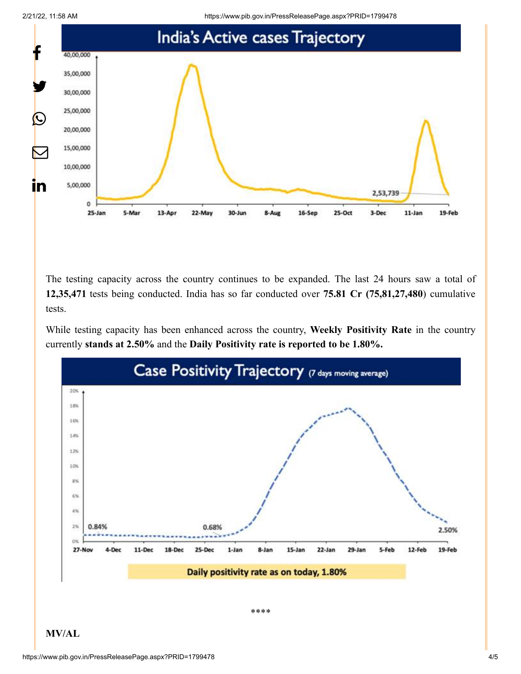



The testing capacity across the country continues to be expanded. The last 24 hours saw a total of **12,35,471** tests being conducted. India has so far conducted over **75.81 Cr (75,81,27,480**) cumulative tests.

While testing capacity has been enhanced across the country, **Weekly Positivity Rate** in the country currently **stands at 2.50%** and the **Daily Positivity rate is reported to be 1.80%.**



**MV/AL**